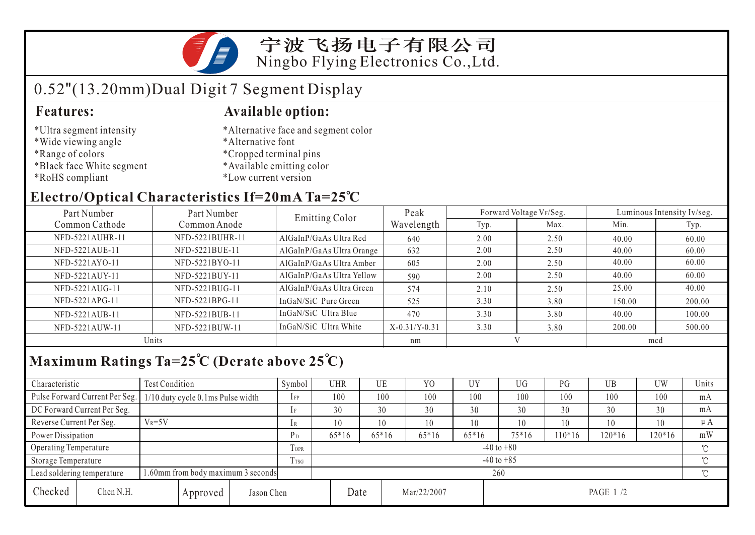宁波飞扬电子有限公司 Ningbo Flying Electronics Co.,Ltd.

## 0.52"(13.20mm)Dual Digit 7 Segment Display

- \*Ultra segment intensity
- \*Wide viewing angle
- \*Range of colors
- \*Black face White segment
- \*RoHS compliant

#### **Features: Available option:**

- \*Alternative face and segment color
- \*Alternative font
- \*Cropped terminal pins
- \*Available emitting color
- \*Low current version

### **Electro/Optical Characteristics If=20mA Ta=25 C**

| Part Number<br>Part Number |                 | Emitting Color            | Peak            |      | Forward Voltage VF/Seg. | Luminous Intensity Iv/seg. |        |  |
|----------------------------|-----------------|---------------------------|-----------------|------|-------------------------|----------------------------|--------|--|
| Common Cathode             | Common Anode    |                           | Wavelength      | Typ. | Max.                    | Min.                       | Typ.   |  |
| NFD-5221AUHR-11            | NFD-5221BUHR-11 | AlGaInP/GaAs Ultra Red    | 640             | 2.00 | 2.50                    | 40.00                      | 60.00  |  |
| NFD-5221AUE-11             | NFD-5221BUE-11  | AlGaInP/GaAs Ultra Orange | 632             | 2.00 | 2.50                    | 40.00                      | 60.00  |  |
| NFD-5221AYO-11             | NFD-5221BYO-11  | AlGaInP/GaAs Ultra Amber  | 605             | 2.00 | 2.50                    | 40.00                      | 60.00  |  |
| NFD-5221AUY-11             | NFD-5221BUY-11  | AlGaInP/GaAs Ultra Yellow | 590             | 2.00 | 2.50                    | 40.00                      | 60.00  |  |
| NFD-5221AUG-11             | NFD-5221BUG-11  | AlGaInP/GaAs Ultra Green  | 574             | 2.10 | 2.50                    | 25.00                      | 40.00  |  |
| NFD-5221APG-11             | NFD-5221BPG-11  | InGaN/SiC Pure Green      | 525             | 3.30 | 3.80                    | 150.00                     | 200.00 |  |
| NFD-5221AUB-11             | NFD-5221BUB-11  | InGaN/SiC Ultra Blue      | 470             | 3.30 | 3.80                    | 40.00                      | 100.00 |  |
| NFD-5221AUW-11             | NFD-5221BUW-11  | InGaN/SiC Ultra White     | $X-0.31/Y-0.31$ | 3.30 | 3.80                    | 200.00                     | 500.00 |  |
| Units                      |                 |                           | nm              |      |                         | mcd                        |        |  |

## **Maximum Ratings Ta=25 C (Derate above 25 C)**

| Characteristic                                                   |                                | <b>Test Condition</b>             |            |                             | Symbol | <b>UHR</b>     |         | UE          | Y <sub>0</sub> | <b>UY</b> | UG <sub></sub> | PG       | UB     | UW  | Units   |
|------------------------------------------------------------------|--------------------------------|-----------------------------------|------------|-----------------------------|--------|----------------|---------|-------------|----------------|-----------|----------------|----------|--------|-----|---------|
|                                                                  | Pulse Forward Current Per Seg. | 1/10 duty cycle 0.1ms Pulse width |            |                             | $1$ FP | 100            |         | 100         | 100            | 100       | 100            | 100      | 100    | 100 | mA      |
|                                                                  | DC Forward Current Per Seg.    |                                   |            |                             |        | 30             |         | 30          | 30             | 30        | 30             | 30       | 30     | 30  | mA      |
| Reverse Current Per Seg.                                         |                                | $V_R = 5V$                        |            |                             | 1 R    | 10             |         | 10          | 10             | 10        | 10             | 10       | 10     | 10  | $\mu A$ |
| Power Dissipation                                                |                                |                                   | $P_D$      | $65*16$                     |        | $65*16$        | $65*16$ | $65*16$     | $75*16$        | $10*16$   | $120*16$       | $120*16$ | mW     |     |         |
| Operating Temperature                                            |                                |                                   |            | $\mathbf{r}$<br><b>TOPR</b> |        | $-40$ to $+80$ |         |             |                |           |                |          |        |     |         |
| Storage Temperature                                              |                                |                                   | Trsg       | $-40$ to $+85$              |        |                |         |             |                |           |                |          | $\sim$ |     |         |
| 1.60mm from body maximum 3 seconds<br>Lead soldering temperature |                                |                                   |            |                             |        | 260            |         |             |                |           |                |          |        |     | $\sim$  |
| Checked                                                          | Chen N.H.<br>Approved          |                                   | Jason Chen |                             | Date   |                |         | Mar/22/2007 |                | PAGE 1 /2 |                |          |        |     |         |